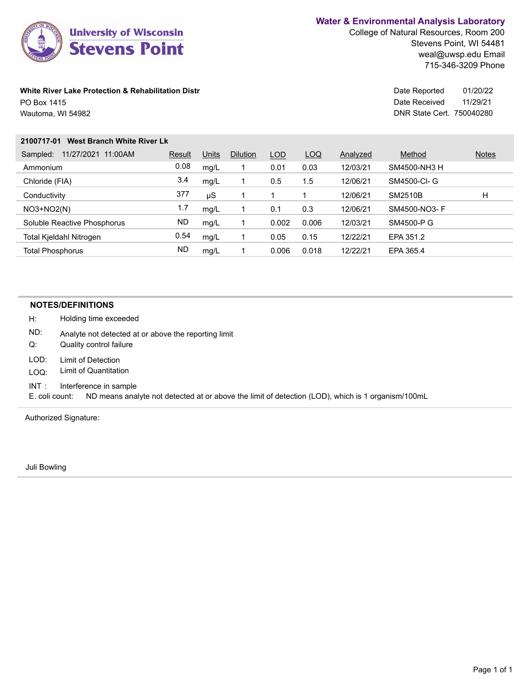

College of Natural Resources, Room 200 Stevens Point, WI 54481 weal@uwsp.edu Email 715-346-3209 Phone

#### **White River Lake Protection & Rehabilitation Distr Distribution Control Date Reported** Date Reported PO Box 1415

Wautoma, WI 54982

DNR State Cert. 750040280 Date Received 01/20/22 11/29/21

#### **2100717-01 West Branch White River Lk**

| 11/27/2021<br>11:00AM<br>Sampled: | Result | Units | <b>Dilution</b> | LOD   | LOQ   | Analyzed | Method         | <b>Notes</b> |
|-----------------------------------|--------|-------|-----------------|-------|-------|----------|----------------|--------------|
| Ammonium                          | 0.08   | mq/L  |                 | 0.01  | 0.03  | 12/03/21 | SM4500-NH3 H   |              |
| Chloride (FIA)                    | 3.4    | mq/L  |                 | 0.5   | 1.5   | 12/06/21 | SM4500-CI- G   |              |
| Conductivity                      | 377    | μS    |                 |       |       | 12/06/21 | <b>SM2510B</b> | Н            |
| $NO3+NO2(N)$                      | 1.7    | mq/L  |                 | 0.1   | 0.3   | 12/06/21 | SM4500-NO3- F  |              |
| Soluble Reactive Phosphorus       | ND     | mq/L  |                 | 0.002 | 0.006 | 12/03/21 | SM4500-P G     |              |
| Total Kjeldahl Nitrogen           | 0.54   | mq/L  |                 | 0.05  | 0.15  | 12/22/21 | EPA 351.2      |              |
| <b>Total Phosphorus</b>           | ND     | mq/L  |                 | 0.006 | 0.018 | 12/22/21 | EPA 365.4      |              |
|                                   |        |       |                 |       |       |          |                |              |

#### **NOTES/DEFINITIONS**

H: Holding time exceeded

ND: Analyte not detected at or above the reporting limit

- Q: Quality control failure
- LOD: Limit of Detection
- LOQ: Limit of Quantitation
- INT : Interference in sample

E. coli count: ND means analyte not detected at or above the limit of detection (LOD), which is 1 organism/100mL

Authorized Signature:

Juli Bowling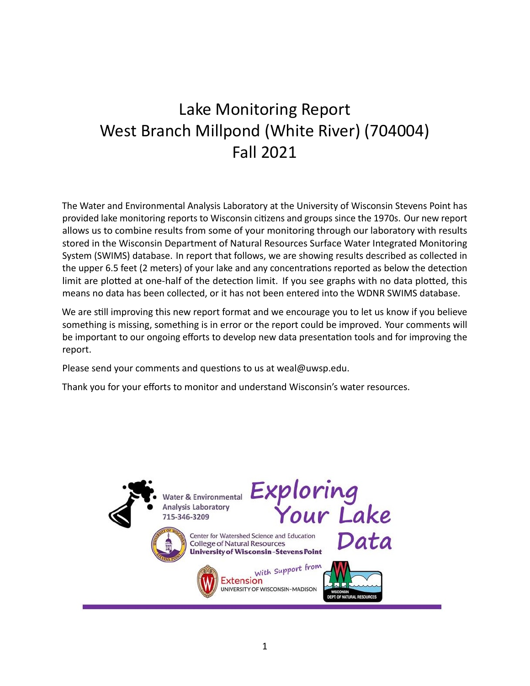# Lake Monitoring Report West Branch Millpond (White River) (704004) Fall 2021

The Water and Environmental Analysis Laboratory at the University of Wisconsin Stevens Point has provided lake monitoring reports to Wisconsin citizens and groups since the 1970s. Our new report allows us to combine results from some of your monitoring through our laboratory with results stored in the Wisconsin Department of Natural Resources Surface Water Integrated Monitoring System (SWIMS) database. In report that follows, we are showing results described as collected in the upper 6.5 feet (2 meters) of your lake and any concentrations reported as below the detection limit are plotted at one-half of the detection limit. If you see graphs with no data plotted, this means no data has been collected, or it has not been entered into the WDNR SWIMS database.

We are still improving this new report format and we encourage you to let us know if you believe something is missing, something is in error or the report could be improved. Your comments will be important to our ongoing efforts to develop new data presentation tools and for improving the report.

Please send your comments and questions to usat [weal@uwsp.edu.](mailto:weal@uwsp.edu)

Thank you for your efforts to monitor and understand Wisconsin's water resources.

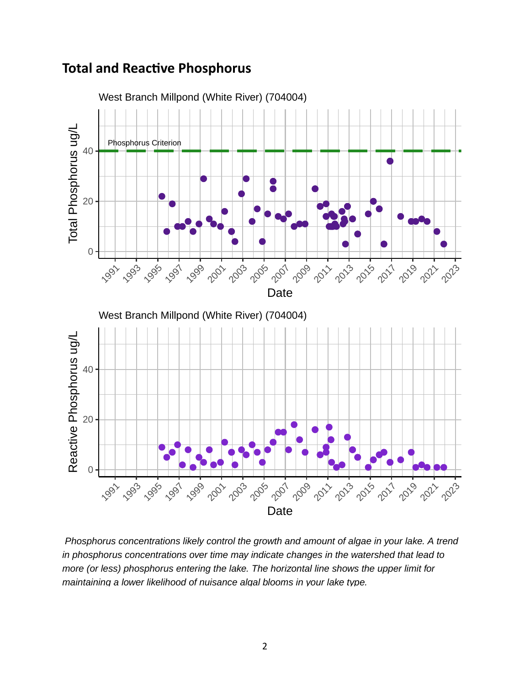### **Total and Reactive Phosphorus**



 Phosphorus concentrations likely control the growth and amount of algae in your lake. A trend in phosphorus concentrations over time may indicate changes in the watershed that lead to more (or less) phosphorus entering the lake. The horizontal line shows the upper limit for maintaining a lower likelihood of nuisance algal blooms in your lake type.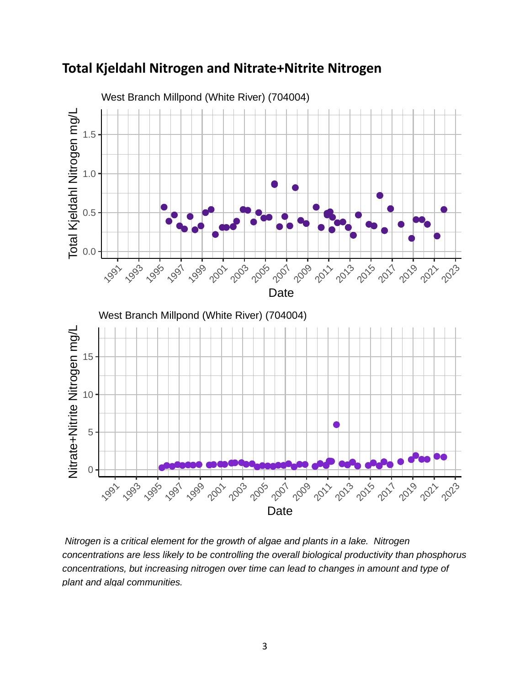

**Total Kjeldahl Nitrogen and Nitrate+Nitrite Nitrogen**

 Nitrogen is a critical element for the growth of algae and plants in a lake. Nitrogen concentrations are less likely to be controlling the overall biological productivity than phosphorus concentrations, but increasing nitrogen over time can lead to changes in amount and type of plant and algal communities.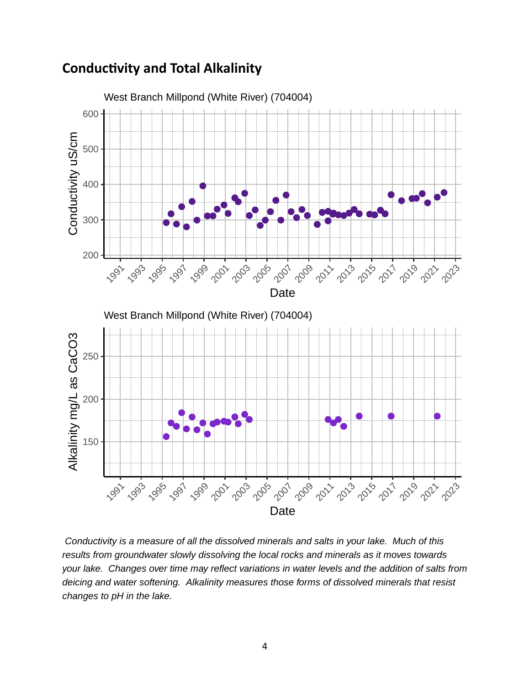#### West Branch Millpond (White River) (704004) 600 Conductivity uS/cm Conductivity uS/cm 500 400 300 200 2023 1991 19<sub>93</sub> 19<sub>92</sub> 19<sub>93</sub> 19<sub>02</sub> 190<sub>2</sub> 190<sub>9</sub> 19<sub>12</sub> 19<sub>12</sub> 19<sub>12</sub> 19<sub>19</sub> 19<sub>15</sub> **Date** West Branch Millpond (White River) (704004) Alkalinity mg/L as CaCO3 Alkalinity mg/L as CaCO3 250 200 150 2005 **2003** 2019-2021 1991 2023 1993 1991 1999 2001 2007 2013 2015 2017 Date

## **Conductivity and Total Alkalinity**

 Conductivity is a measure of all the dissolved minerals and salts in your lake. Much of this results from groundwater slowly dissolving the local rocks and minerals as it moves towards your lake. Changes over time may reflect variations in water levels and the addition of salts from deicing and water softening. Alkalinity measures those forms of dissolved minerals that resist changes to pH in the lake.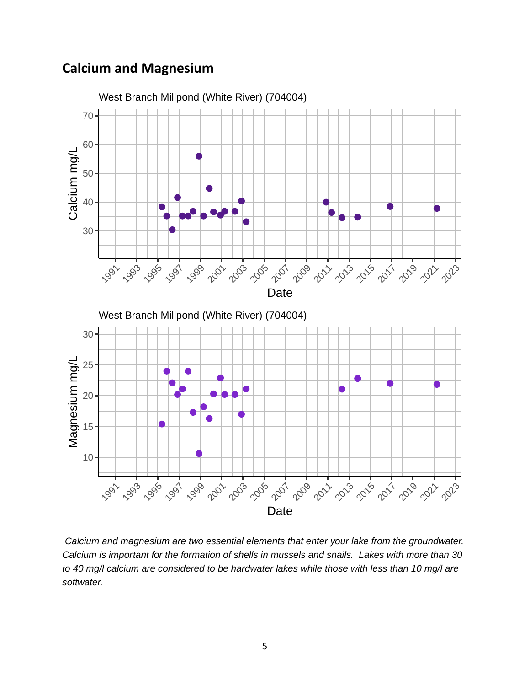# **Calcium and Magnesium**



 Calcium and magnesium are two essential elements that enter your lake from the groundwater. Calcium is important for the formation of shells in mussels and snails. Lakes with more than 30 to 40 mg/l calcium are considered to be hardwater lakes while those with less than 10 mg/l are softwater.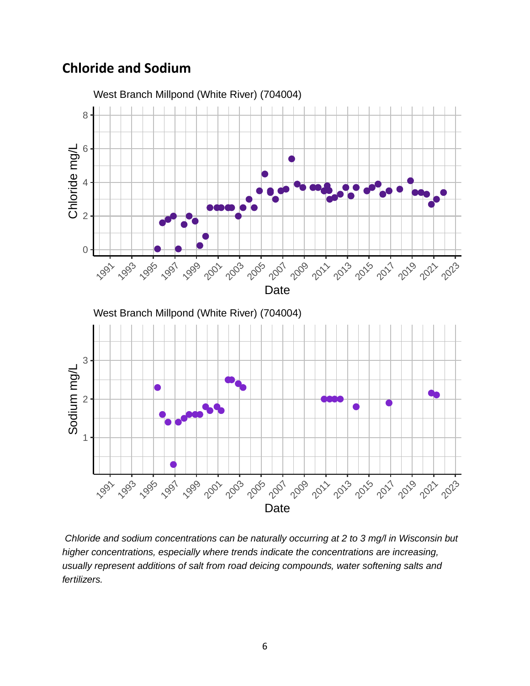## **Chloride and Sodium**



 Chloride and sodium concentrations can be naturally occurring at 2 to 3 mg/l in Wisconsin but higher concentrations, especially where trends indicate the concentrations are increasing, usually represent additions of salt from road deicing compounds, water softening salts and fertilizers.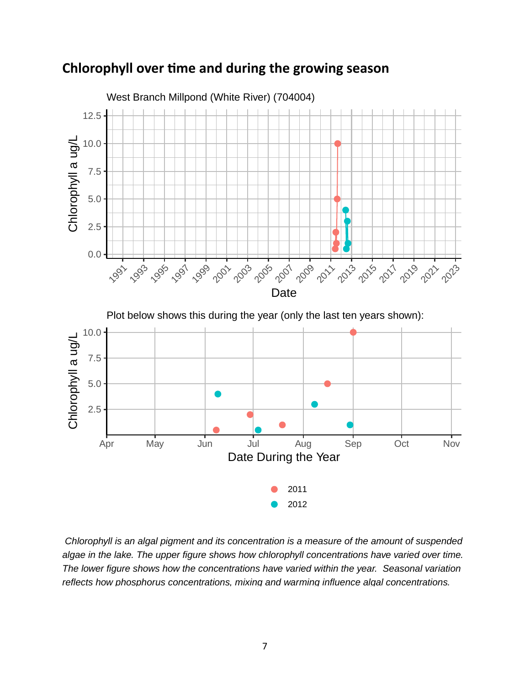

#### **Chlorophyll over time and during the growing season**

 Chlorophyll is an algal pigment and its concentration is a measure of the amount of suspended algae in the lake. The upper figure shows how chlorophyll concentrations have varied over time. The lower figure shows how the concentrations have varied within the year. Seasonal variation reflects how phosphorus concentrations, mixing and warming influence algal concentrations.

2012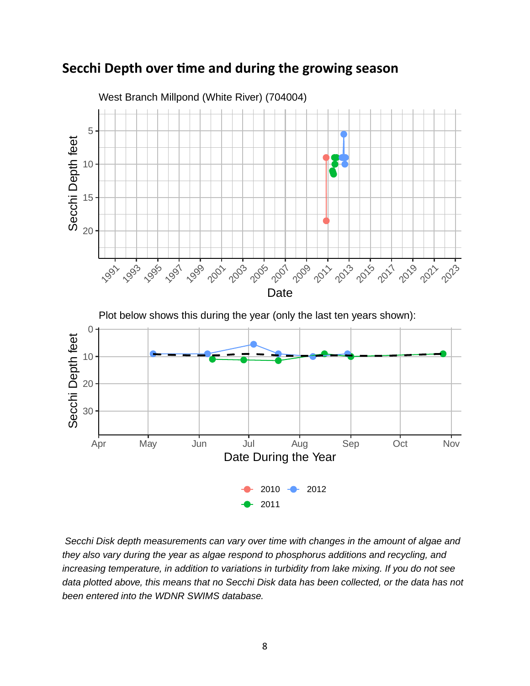### **Secchi Depth over time and during the growing season**



 Secchi Disk depth measurements can vary over time with changes in the amount of algae and they also vary during the year as algae respond to phosphorus additions and recycling, and increasing temperature, in addition to variations in turbidity from lake mixing. If you do not see data plotted above, this means that no Secchi Disk data has been collected, or the data has not been entered into the WDNR SWIMS database.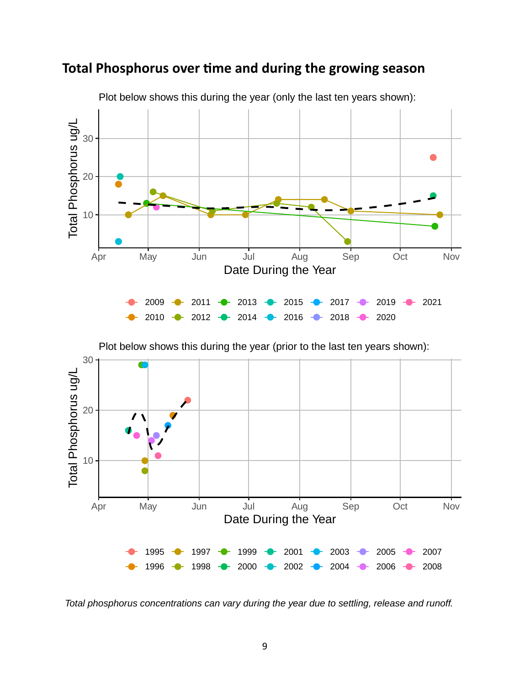



Plot below shows this during the year (only the last ten years shown):

Plot below shows this during the year (prior to the last ten years shown):



Total phosphorus concentrations can vary during the year due to settling, release and runoff.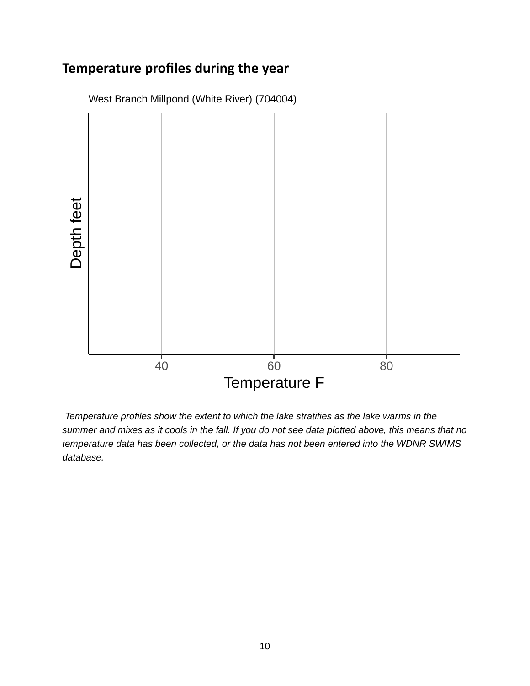# **Temperature profiles during the year**



 Temperature profiles show the extent to which the lake stratifies as the lake warms in the summer and mixes as it cools in the fall. If you do not see data plotted above, this means that no temperature data has been collected, or the data has not been entered into the WDNR SWIMS database.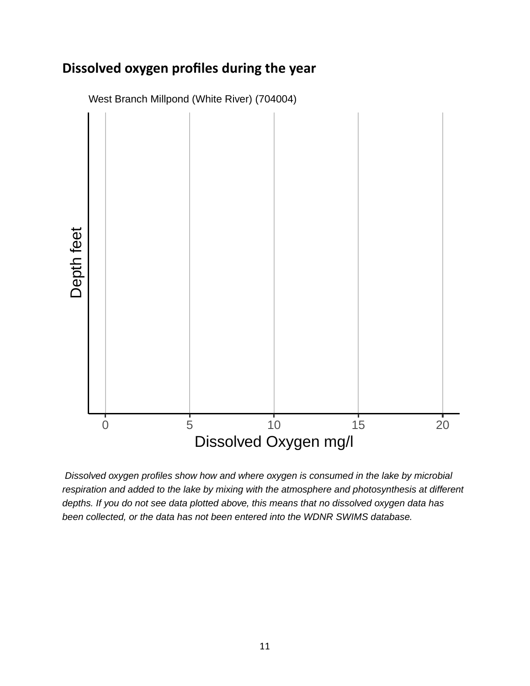# **Dissolved oxygen profiles during the year**



West Branch Millpond (White River) (704004)

 Dissolved oxygen profiles show how and where oxygen is consumed in the lake by microbial respiration and added to the lake by mixing with the atmosphere and photosynthesis at different depths. If you do not see data plotted above, this means that no dissolved oxygen data has been collected, or the data has not been entered into the WDNR SWIMS database.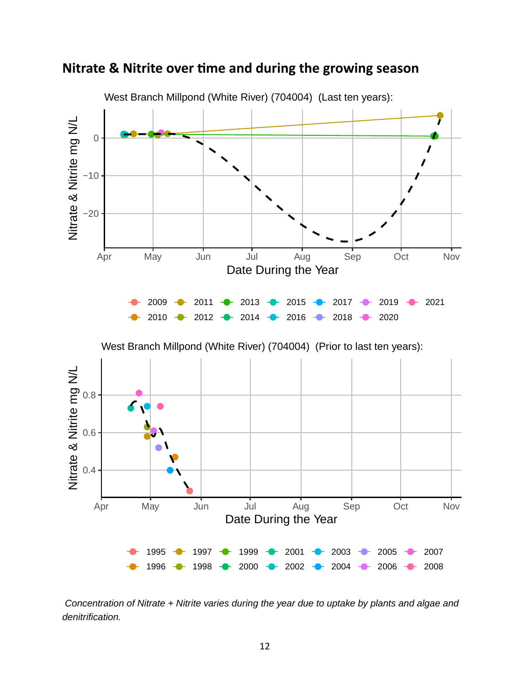



 Concentration of Nitrate + Nitrite varies during the year due to uptake by plants and algae and denitrification.